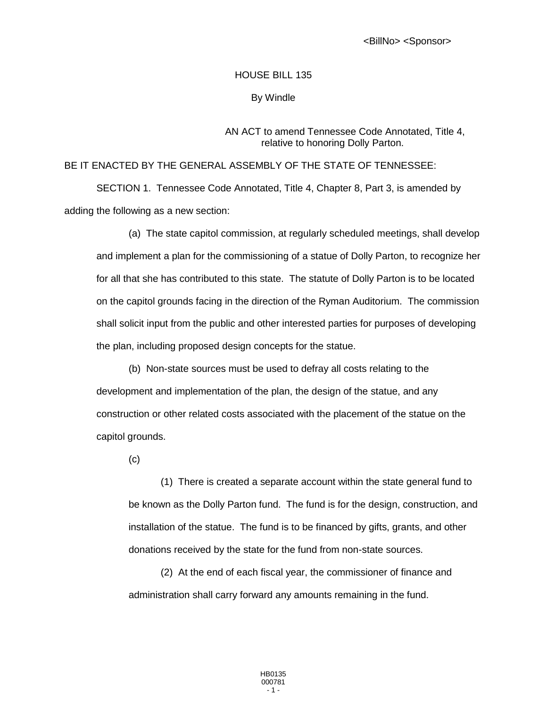<BillNo> <Sponsor>

## HOUSE BILL 135

## By Windle

## AN ACT to amend Tennessee Code Annotated, Title 4, relative to honoring Dolly Parton.

## BE IT ENACTED BY THE GENERAL ASSEMBLY OF THE STATE OF TENNESSEE:

SECTION 1. Tennessee Code Annotated, Title 4, Chapter 8, Part 3, is amended by adding the following as a new section:

(a) The state capitol commission, at regularly scheduled meetings, shall develop and implement a plan for the commissioning of a statue of Dolly Parton, to recognize her for all that she has contributed to this state. The statute of Dolly Parton is to be located on the capitol grounds facing in the direction of the Ryman Auditorium. The commission shall solicit input from the public and other interested parties for purposes of developing the plan, including proposed design concepts for the statue.

(b) Non-state sources must be used to defray all costs relating to the development and implementation of the plan, the design of the statue, and any construction or other related costs associated with the placement of the statue on the capitol grounds.

(c)

(1) There is created a separate account within the state general fund to be known as the Dolly Parton fund. The fund is for the design, construction, and installation of the statue. The fund is to be financed by gifts, grants, and other donations received by the state for the fund from non-state sources.

(2) At the end of each fiscal year, the commissioner of finance and administration shall carry forward any amounts remaining in the fund.